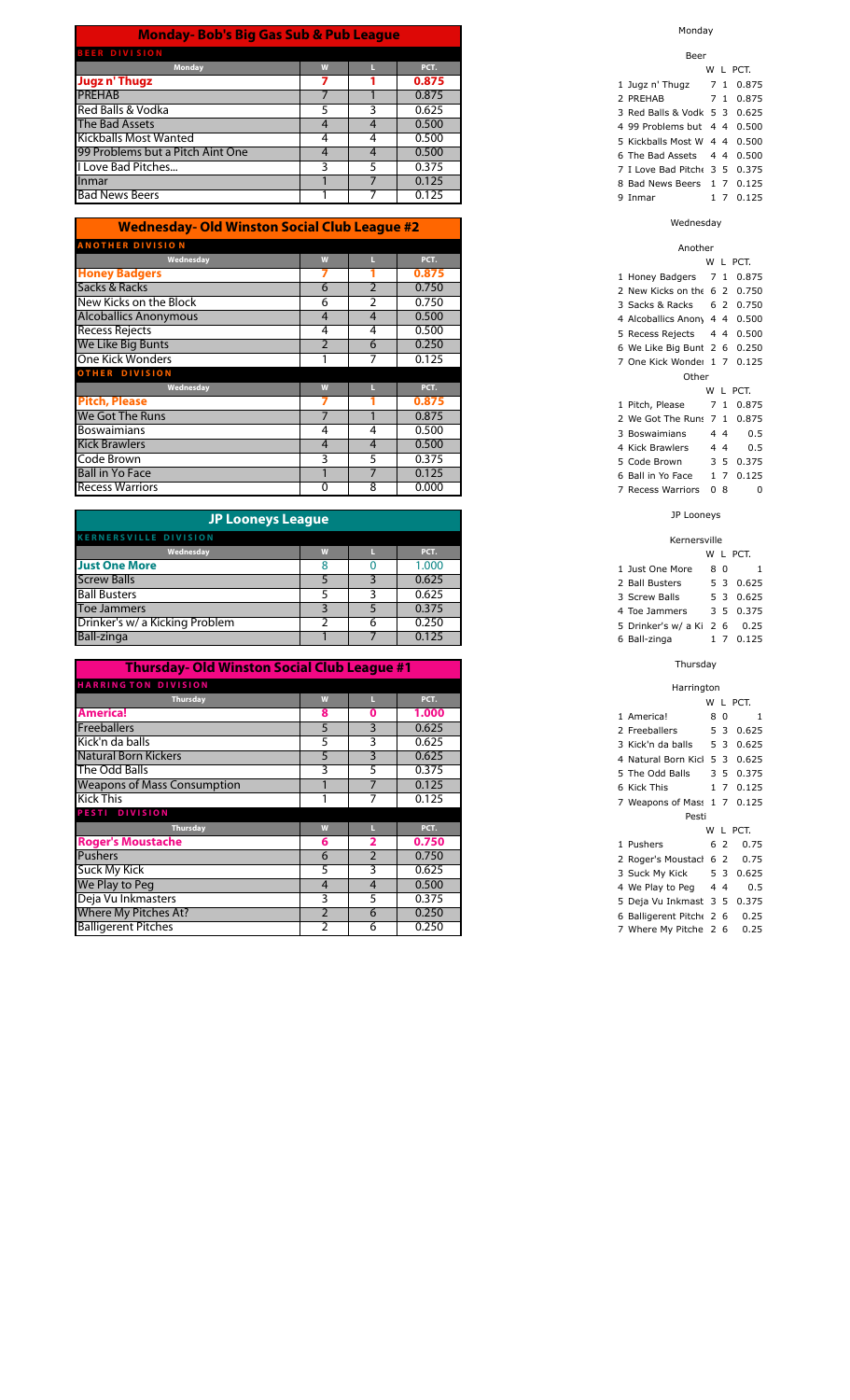| <b>Monday-Bob's Big Gas Sub &amp; Pub League</b> |   |   |       |  |  |  |  |
|--------------------------------------------------|---|---|-------|--|--|--|--|
| <b>BEER DIVISION</b>                             |   |   |       |  |  |  |  |
| <b>Monday</b>                                    | W |   | PCT.  |  |  |  |  |
| Jugz n' Thugz                                    |   |   | 0.875 |  |  |  |  |
| <b>PREHAB</b>                                    |   |   | 0.875 |  |  |  |  |
| Red Balls & Vodka                                |   |   | 0.625 |  |  |  |  |
| The Bad Assets                                   | 4 |   | 0.500 |  |  |  |  |
| <b>Kickballs Most Wanted</b>                     | 4 | 4 | 0.500 |  |  |  |  |
| 99 Problems but a Pitch Aint One                 | 4 |   | 0.500 |  |  |  |  |
| I Love Bad Pitches                               |   |   | 0.375 |  |  |  |  |
| Inmar                                            |   |   | 0.125 |  |  |  |  |
| <b>Bad News Beers</b>                            |   |   | 0.125 |  |  |  |  |

| <b>Wednesday- Old Winston Social Club League #2</b> |                |                |       |  |  |  |  |  |
|-----------------------------------------------------|----------------|----------------|-------|--|--|--|--|--|
| <b>ANOTHER DIVISION</b>                             |                |                |       |  |  |  |  |  |
| Wednesday                                           | W              |                | PCT.  |  |  |  |  |  |
| <b>Honey Badgers</b>                                |                |                | 0.875 |  |  |  |  |  |
| Sacks & Racks                                       | 6              | $\overline{2}$ | 0.750 |  |  |  |  |  |
| New Kicks on the Block                              | 6              | 2              | 0.750 |  |  |  |  |  |
| <b>Alcoballics Anonymous</b>                        | 4              | $\overline{4}$ | 0.500 |  |  |  |  |  |
| <b>Recess Rejects</b>                               | 4              | 4              | 0.500 |  |  |  |  |  |
| We Like Big Bunts                                   | $\overline{2}$ | 6              | 0.250 |  |  |  |  |  |
| One Kick Wonders                                    |                | 7              | 0.125 |  |  |  |  |  |
| <b>OTHER DIVISION</b>                               |                |                |       |  |  |  |  |  |
| Wednesday                                           | W              | ш              | PCT.  |  |  |  |  |  |
| <b>Pitch, Please</b>                                |                |                | 0.875 |  |  |  |  |  |
| We Got The Runs                                     |                |                | 0.875 |  |  |  |  |  |
| <b>Boswaimians</b>                                  | 4              | 4              | 0.500 |  |  |  |  |  |
| <b>Kick Brawlers</b>                                | 4              | $\overline{4}$ | 0.500 |  |  |  |  |  |
| Code Brown                                          | 3              | 5              | 0.375 |  |  |  |  |  |
| <b>Ball in Yo Face</b>                              |                | 7              | 0.125 |  |  |  |  |  |
| <b>Recess Warriors</b>                              | 0              | 8              | 0.000 |  |  |  |  |  |

| JP Looneys League              |   |       |
|--------------------------------|---|-------|
| <b>KERNERSVILLE DIVISION</b>   |   |       |
| Wednesday                      |   | PCT.  |
| <b>Just One More</b>           |   | 1.000 |
| <b>Screw Balls</b>             |   | 0.625 |
| <b>Ball Busters</b>            |   | 0.625 |
| <b>Toe Jammers</b>             |   | 0.375 |
| Drinker's w/ a Kicking Problem | 6 | 0.250 |
| <b>Ball-zinga</b>              |   | 0.125 |
|                                |   |       |

| Thursday- Old Winston Social Club League #1 |   |    |       |  |  |  |  |  |  |
|---------------------------------------------|---|----|-------|--|--|--|--|--|--|
| <b>HARRINGTON DIVISION</b>                  |   |    |       |  |  |  |  |  |  |
| <b>Thursday</b>                             | W |    | PCT.  |  |  |  |  |  |  |
| <b>America!</b>                             | 8 | 0  | 1.000 |  |  |  |  |  |  |
| <b>Freeballers</b>                          | 5 | 3  | 0.625 |  |  |  |  |  |  |
| Kick'n da balls                             | 5 | 3  | 0.625 |  |  |  |  |  |  |
| <b>Natural Born Kickers</b>                 | 5 | 3  | 0.625 |  |  |  |  |  |  |
| The Odd Balls                               | 3 | 5  | 0.375 |  |  |  |  |  |  |
| <b>Weapons of Mass Consumption</b>          |   |    | 0.125 |  |  |  |  |  |  |
| <b>Kick This</b>                            |   |    | 0.125 |  |  |  |  |  |  |
| PESTI DIVISION                              |   |    |       |  |  |  |  |  |  |
| <b>Thursday</b>                             | W |    | PCT.  |  |  |  |  |  |  |
| <b>Roger's Moustache</b>                    | 6 | 2  | 0.750 |  |  |  |  |  |  |
| <b>Pushers</b>                              | 6 | 2  | 0.750 |  |  |  |  |  |  |
| Suck My Kick                                | 5 | 3  | 0.625 |  |  |  |  |  |  |
| We Play to Peg                              | 4 | 4  | 0.500 |  |  |  |  |  |  |
| Deja Vu Inkmasters                          | 3 | 5. | 0.375 |  |  |  |  |  |  |
| Where My Pitches At?                        | 2 | 6  | 0.250 |  |  |  |  |  |  |
| <b>Balligerent Pitches</b>                  | 2 | 6  | 0.250 |  |  |  |  |  |  |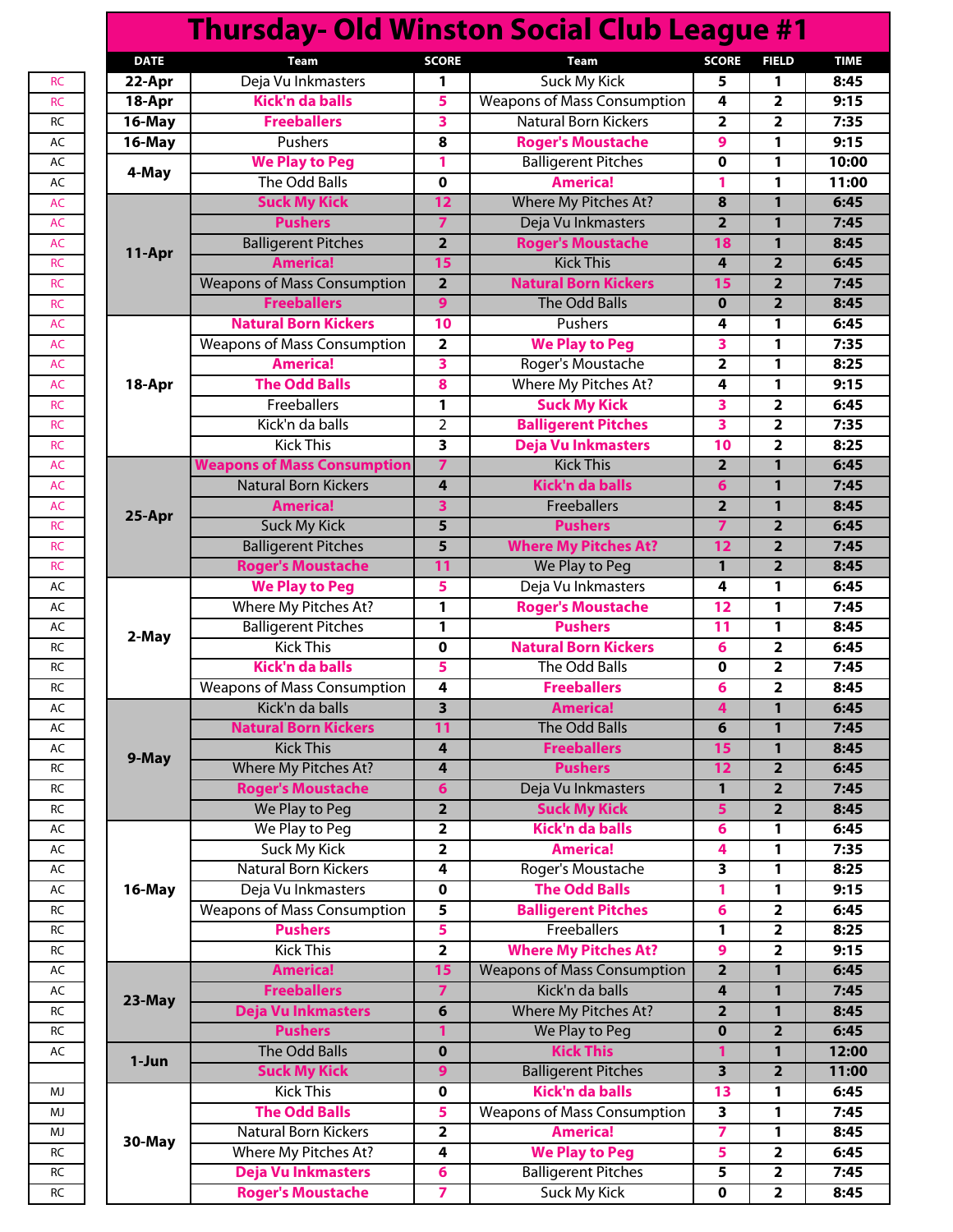| <b>Thursday- Old Winston Social Club League #1</b> |                                                                                                                                                                                                                                                                                                                                                                                                                                                                                                                                                                                                                                                                                                                                                                                                                                           |                                                                                                                                                                                                                                                                   |                                                                                                                                                                                                                                                                                                                                                                                                                                                                                                                                                                                                                                                                                                                                                             |                                                                                                                                                                                                                       |                                                                                                                                                                                                                                                                                                                                                                                                 |  |  |  |  |  |
|----------------------------------------------------|-------------------------------------------------------------------------------------------------------------------------------------------------------------------------------------------------------------------------------------------------------------------------------------------------------------------------------------------------------------------------------------------------------------------------------------------------------------------------------------------------------------------------------------------------------------------------------------------------------------------------------------------------------------------------------------------------------------------------------------------------------------------------------------------------------------------------------------------|-------------------------------------------------------------------------------------------------------------------------------------------------------------------------------------------------------------------------------------------------------------------|-------------------------------------------------------------------------------------------------------------------------------------------------------------------------------------------------------------------------------------------------------------------------------------------------------------------------------------------------------------------------------------------------------------------------------------------------------------------------------------------------------------------------------------------------------------------------------------------------------------------------------------------------------------------------------------------------------------------------------------------------------------|-----------------------------------------------------------------------------------------------------------------------------------------------------------------------------------------------------------------------|-------------------------------------------------------------------------------------------------------------------------------------------------------------------------------------------------------------------------------------------------------------------------------------------------------------------------------------------------------------------------------------------------|--|--|--|--|--|
| <b>Team</b>                                        | <b>SCORE</b>                                                                                                                                                                                                                                                                                                                                                                                                                                                                                                                                                                                                                                                                                                                                                                                                                              | Team                                                                                                                                                                                                                                                              | <b>SCORE</b>                                                                                                                                                                                                                                                                                                                                                                                                                                                                                                                                                                                                                                                                                                                                                | <b>FIELD</b>                                                                                                                                                                                                          | <b>TIME</b>                                                                                                                                                                                                                                                                                                                                                                                     |  |  |  |  |  |
| Deja Vu Inkmasters                                 | 1                                                                                                                                                                                                                                                                                                                                                                                                                                                                                                                                                                                                                                                                                                                                                                                                                                         | <b>Suck My Kick</b>                                                                                                                                                                                                                                               | 5                                                                                                                                                                                                                                                                                                                                                                                                                                                                                                                                                                                                                                                                                                                                                           | 1                                                                                                                                                                                                                     | 8:45                                                                                                                                                                                                                                                                                                                                                                                            |  |  |  |  |  |
| Kick'n da balls                                    | 5                                                                                                                                                                                                                                                                                                                                                                                                                                                                                                                                                                                                                                                                                                                                                                                                                                         | <b>Weapons of Mass Consumption</b>                                                                                                                                                                                                                                | 4                                                                                                                                                                                                                                                                                                                                                                                                                                                                                                                                                                                                                                                                                                                                                           | $\overline{\mathbf{2}}$                                                                                                                                                                                               | 9:15                                                                                                                                                                                                                                                                                                                                                                                            |  |  |  |  |  |
| <b>Freeballers</b>                                 | 3                                                                                                                                                                                                                                                                                                                                                                                                                                                                                                                                                                                                                                                                                                                                                                                                                                         | <b>Natural Born Kickers</b>                                                                                                                                                                                                                                       | $\overline{\mathbf{2}}$                                                                                                                                                                                                                                                                                                                                                                                                                                                                                                                                                                                                                                                                                                                                     | $\overline{\mathbf{2}}$                                                                                                                                                                                               | 7:35                                                                                                                                                                                                                                                                                                                                                                                            |  |  |  |  |  |
| <b>Pushers</b>                                     | 8                                                                                                                                                                                                                                                                                                                                                                                                                                                                                                                                                                                                                                                                                                                                                                                                                                         | <b>Roger's Moustache</b>                                                                                                                                                                                                                                          | 9                                                                                                                                                                                                                                                                                                                                                                                                                                                                                                                                                                                                                                                                                                                                                           | 1                                                                                                                                                                                                                     | 9:15                                                                                                                                                                                                                                                                                                                                                                                            |  |  |  |  |  |
| <b>We Play to Peg</b>                              | 1                                                                                                                                                                                                                                                                                                                                                                                                                                                                                                                                                                                                                                                                                                                                                                                                                                         | <b>Balligerent Pitches</b>                                                                                                                                                                                                                                        | $\mathbf 0$                                                                                                                                                                                                                                                                                                                                                                                                                                                                                                                                                                                                                                                                                                                                                 | 1                                                                                                                                                                                                                     | 10:00                                                                                                                                                                                                                                                                                                                                                                                           |  |  |  |  |  |
| The Odd Balls                                      | 0                                                                                                                                                                                                                                                                                                                                                                                                                                                                                                                                                                                                                                                                                                                                                                                                                                         | <b>America!</b>                                                                                                                                                                                                                                                   | 1                                                                                                                                                                                                                                                                                                                                                                                                                                                                                                                                                                                                                                                                                                                                                           | 1                                                                                                                                                                                                                     | 11:00                                                                                                                                                                                                                                                                                                                                                                                           |  |  |  |  |  |
| <b>Suck My Kick</b>                                | 12                                                                                                                                                                                                                                                                                                                                                                                                                                                                                                                                                                                                                                                                                                                                                                                                                                        | Where My Pitches At?                                                                                                                                                                                                                                              | 8                                                                                                                                                                                                                                                                                                                                                                                                                                                                                                                                                                                                                                                                                                                                                           | 1                                                                                                                                                                                                                     | 6:45                                                                                                                                                                                                                                                                                                                                                                                            |  |  |  |  |  |
| <b>Pushers</b>                                     | $\overline{7}$                                                                                                                                                                                                                                                                                                                                                                                                                                                                                                                                                                                                                                                                                                                                                                                                                            | Deja Vu Inkmasters                                                                                                                                                                                                                                                | $\overline{\mathbf{2}}$                                                                                                                                                                                                                                                                                                                                                                                                                                                                                                                                                                                                                                                                                                                                     | 1                                                                                                                                                                                                                     | 7:45                                                                                                                                                                                                                                                                                                                                                                                            |  |  |  |  |  |
| <b>Balligerent Pitches</b>                         | $\overline{\mathbf{2}}$                                                                                                                                                                                                                                                                                                                                                                                                                                                                                                                                                                                                                                                                                                                                                                                                                   | <b>Roger's Moustache</b>                                                                                                                                                                                                                                          | 18                                                                                                                                                                                                                                                                                                                                                                                                                                                                                                                                                                                                                                                                                                                                                          | $\mathbf{1}$                                                                                                                                                                                                          | 8:45                                                                                                                                                                                                                                                                                                                                                                                            |  |  |  |  |  |
| <b>America!</b>                                    | 15                                                                                                                                                                                                                                                                                                                                                                                                                                                                                                                                                                                                                                                                                                                                                                                                                                        | <b>Kick This</b>                                                                                                                                                                                                                                                  | 4                                                                                                                                                                                                                                                                                                                                                                                                                                                                                                                                                                                                                                                                                                                                                           | $\overline{2}$                                                                                                                                                                                                        | 6:45                                                                                                                                                                                                                                                                                                                                                                                            |  |  |  |  |  |
|                                                    | $\overline{2}$                                                                                                                                                                                                                                                                                                                                                                                                                                                                                                                                                                                                                                                                                                                                                                                                                            | <b>Natural Born Kickers</b>                                                                                                                                                                                                                                       | 15                                                                                                                                                                                                                                                                                                                                                                                                                                                                                                                                                                                                                                                                                                                                                          | $\overline{2}$                                                                                                                                                                                                        | 7:45                                                                                                                                                                                                                                                                                                                                                                                            |  |  |  |  |  |
| <b>Freeballers</b>                                 | $\overline{9}$                                                                                                                                                                                                                                                                                                                                                                                                                                                                                                                                                                                                                                                                                                                                                                                                                            | <b>The Odd Balls</b>                                                                                                                                                                                                                                              | $\mathbf 0$                                                                                                                                                                                                                                                                                                                                                                                                                                                                                                                                                                                                                                                                                                                                                 | $\overline{2}$                                                                                                                                                                                                        | 8:45                                                                                                                                                                                                                                                                                                                                                                                            |  |  |  |  |  |
| <b>Natural Born Kickers</b>                        | 10                                                                                                                                                                                                                                                                                                                                                                                                                                                                                                                                                                                                                                                                                                                                                                                                                                        | Pushers                                                                                                                                                                                                                                                           | 4                                                                                                                                                                                                                                                                                                                                                                                                                                                                                                                                                                                                                                                                                                                                                           | 1                                                                                                                                                                                                                     | 6:45                                                                                                                                                                                                                                                                                                                                                                                            |  |  |  |  |  |
|                                                    |                                                                                                                                                                                                                                                                                                                                                                                                                                                                                                                                                                                                                                                                                                                                                                                                                                           |                                                                                                                                                                                                                                                                   |                                                                                                                                                                                                                                                                                                                                                                                                                                                                                                                                                                                                                                                                                                                                                             |                                                                                                                                                                                                                       | 7:35                                                                                                                                                                                                                                                                                                                                                                                            |  |  |  |  |  |
|                                                    |                                                                                                                                                                                                                                                                                                                                                                                                                                                                                                                                                                                                                                                                                                                                                                                                                                           |                                                                                                                                                                                                                                                                   |                                                                                                                                                                                                                                                                                                                                                                                                                                                                                                                                                                                                                                                                                                                                                             |                                                                                                                                                                                                                       | 8:25                                                                                                                                                                                                                                                                                                                                                                                            |  |  |  |  |  |
|                                                    |                                                                                                                                                                                                                                                                                                                                                                                                                                                                                                                                                                                                                                                                                                                                                                                                                                           |                                                                                                                                                                                                                                                                   |                                                                                                                                                                                                                                                                                                                                                                                                                                                                                                                                                                                                                                                                                                                                                             |                                                                                                                                                                                                                       | 9:15                                                                                                                                                                                                                                                                                                                                                                                            |  |  |  |  |  |
|                                                    |                                                                                                                                                                                                                                                                                                                                                                                                                                                                                                                                                                                                                                                                                                                                                                                                                                           |                                                                                                                                                                                                                                                                   |                                                                                                                                                                                                                                                                                                                                                                                                                                                                                                                                                                                                                                                                                                                                                             |                                                                                                                                                                                                                       | 6:45                                                                                                                                                                                                                                                                                                                                                                                            |  |  |  |  |  |
|                                                    |                                                                                                                                                                                                                                                                                                                                                                                                                                                                                                                                                                                                                                                                                                                                                                                                                                           |                                                                                                                                                                                                                                                                   |                                                                                                                                                                                                                                                                                                                                                                                                                                                                                                                                                                                                                                                                                                                                                             |                                                                                                                                                                                                                       | 7:35                                                                                                                                                                                                                                                                                                                                                                                            |  |  |  |  |  |
|                                                    |                                                                                                                                                                                                                                                                                                                                                                                                                                                                                                                                                                                                                                                                                                                                                                                                                                           |                                                                                                                                                                                                                                                                   |                                                                                                                                                                                                                                                                                                                                                                                                                                                                                                                                                                                                                                                                                                                                                             |                                                                                                                                                                                                                       | 8:25                                                                                                                                                                                                                                                                                                                                                                                            |  |  |  |  |  |
|                                                    |                                                                                                                                                                                                                                                                                                                                                                                                                                                                                                                                                                                                                                                                                                                                                                                                                                           |                                                                                                                                                                                                                                                                   |                                                                                                                                                                                                                                                                                                                                                                                                                                                                                                                                                                                                                                                                                                                                                             |                                                                                                                                                                                                                       |                                                                                                                                                                                                                                                                                                                                                                                                 |  |  |  |  |  |
|                                                    |                                                                                                                                                                                                                                                                                                                                                                                                                                                                                                                                                                                                                                                                                                                                                                                                                                           |                                                                                                                                                                                                                                                                   |                                                                                                                                                                                                                                                                                                                                                                                                                                                                                                                                                                                                                                                                                                                                                             |                                                                                                                                                                                                                       | 6:45                                                                                                                                                                                                                                                                                                                                                                                            |  |  |  |  |  |
|                                                    |                                                                                                                                                                                                                                                                                                                                                                                                                                                                                                                                                                                                                                                                                                                                                                                                                                           |                                                                                                                                                                                                                                                                   |                                                                                                                                                                                                                                                                                                                                                                                                                                                                                                                                                                                                                                                                                                                                                             |                                                                                                                                                                                                                       | 7:45                                                                                                                                                                                                                                                                                                                                                                                            |  |  |  |  |  |
|                                                    |                                                                                                                                                                                                                                                                                                                                                                                                                                                                                                                                                                                                                                                                                                                                                                                                                                           |                                                                                                                                                                                                                                                                   |                                                                                                                                                                                                                                                                                                                                                                                                                                                                                                                                                                                                                                                                                                                                                             |                                                                                                                                                                                                                       | 8:45                                                                                                                                                                                                                                                                                                                                                                                            |  |  |  |  |  |
|                                                    |                                                                                                                                                                                                                                                                                                                                                                                                                                                                                                                                                                                                                                                                                                                                                                                                                                           |                                                                                                                                                                                                                                                                   |                                                                                                                                                                                                                                                                                                                                                                                                                                                                                                                                                                                                                                                                                                                                                             |                                                                                                                                                                                                                       | 6:45                                                                                                                                                                                                                                                                                                                                                                                            |  |  |  |  |  |
|                                                    |                                                                                                                                                                                                                                                                                                                                                                                                                                                                                                                                                                                                                                                                                                                                                                                                                                           |                                                                                                                                                                                                                                                                   |                                                                                                                                                                                                                                                                                                                                                                                                                                                                                                                                                                                                                                                                                                                                                             |                                                                                                                                                                                                                       | 7:45                                                                                                                                                                                                                                                                                                                                                                                            |  |  |  |  |  |
|                                                    |                                                                                                                                                                                                                                                                                                                                                                                                                                                                                                                                                                                                                                                                                                                                                                                                                                           |                                                                                                                                                                                                                                                                   |                                                                                                                                                                                                                                                                                                                                                                                                                                                                                                                                                                                                                                                                                                                                                             |                                                                                                                                                                                                                       | 8:45                                                                                                                                                                                                                                                                                                                                                                                            |  |  |  |  |  |
|                                                    |                                                                                                                                                                                                                                                                                                                                                                                                                                                                                                                                                                                                                                                                                                                                                                                                                                           |                                                                                                                                                                                                                                                                   |                                                                                                                                                                                                                                                                                                                                                                                                                                                                                                                                                                                                                                                                                                                                                             |                                                                                                                                                                                                                       | 6:45                                                                                                                                                                                                                                                                                                                                                                                            |  |  |  |  |  |
|                                                    | 1                                                                                                                                                                                                                                                                                                                                                                                                                                                                                                                                                                                                                                                                                                                                                                                                                                         |                                                                                                                                                                                                                                                                   | 12                                                                                                                                                                                                                                                                                                                                                                                                                                                                                                                                                                                                                                                                                                                                                          | 1                                                                                                                                                                                                                     | 7:45                                                                                                                                                                                                                                                                                                                                                                                            |  |  |  |  |  |
|                                                    | 1                                                                                                                                                                                                                                                                                                                                                                                                                                                                                                                                                                                                                                                                                                                                                                                                                                         | <b>Pushers</b>                                                                                                                                                                                                                                                    | 11                                                                                                                                                                                                                                                                                                                                                                                                                                                                                                                                                                                                                                                                                                                                                          | 1                                                                                                                                                                                                                     | 8:45                                                                                                                                                                                                                                                                                                                                                                                            |  |  |  |  |  |
| <b>Kick This</b>                                   | $\mathbf 0$                                                                                                                                                                                                                                                                                                                                                                                                                                                                                                                                                                                                                                                                                                                                                                                                                               | <b>Natural Born Kickers</b>                                                                                                                                                                                                                                       | 6                                                                                                                                                                                                                                                                                                                                                                                                                                                                                                                                                                                                                                                                                                                                                           | $\overline{\mathbf{2}}$                                                                                                                                                                                               | 6:45                                                                                                                                                                                                                                                                                                                                                                                            |  |  |  |  |  |
| Kick'n da balls                                    | 5                                                                                                                                                                                                                                                                                                                                                                                                                                                                                                                                                                                                                                                                                                                                                                                                                                         | The Odd Balls                                                                                                                                                                                                                                                     | 0                                                                                                                                                                                                                                                                                                                                                                                                                                                                                                                                                                                                                                                                                                                                                           | $\overline{\mathbf{2}}$                                                                                                                                                                                               | 7:45                                                                                                                                                                                                                                                                                                                                                                                            |  |  |  |  |  |
| <b>Weapons of Mass Consumption</b>                 | 4                                                                                                                                                                                                                                                                                                                                                                                                                                                                                                                                                                                                                                                                                                                                                                                                                                         | <b>Freeballers</b>                                                                                                                                                                                                                                                | 6                                                                                                                                                                                                                                                                                                                                                                                                                                                                                                                                                                                                                                                                                                                                                           | $\overline{\mathbf{2}}$                                                                                                                                                                                               | 8:45                                                                                                                                                                                                                                                                                                                                                                                            |  |  |  |  |  |
| Kick'n da balls                                    | $\overline{\mathbf{3}}$                                                                                                                                                                                                                                                                                                                                                                                                                                                                                                                                                                                                                                                                                                                                                                                                                   | <b>America!</b>                                                                                                                                                                                                                                                   | 4                                                                                                                                                                                                                                                                                                                                                                                                                                                                                                                                                                                                                                                                                                                                                           | $\mathbf{1}$                                                                                                                                                                                                          | 6:45                                                                                                                                                                                                                                                                                                                                                                                            |  |  |  |  |  |
| <b>Natural Born Kickers</b>                        | 11                                                                                                                                                                                                                                                                                                                                                                                                                                                                                                                                                                                                                                                                                                                                                                                                                                        | The Odd Balls                                                                                                                                                                                                                                                     | 6                                                                                                                                                                                                                                                                                                                                                                                                                                                                                                                                                                                                                                                                                                                                                           | 1                                                                                                                                                                                                                     | 7:45                                                                                                                                                                                                                                                                                                                                                                                            |  |  |  |  |  |
| <b>Kick This</b>                                   | 4                                                                                                                                                                                                                                                                                                                                                                                                                                                                                                                                                                                                                                                                                                                                                                                                                                         |                                                                                                                                                                                                                                                                   | 15                                                                                                                                                                                                                                                                                                                                                                                                                                                                                                                                                                                                                                                                                                                                                          | 1                                                                                                                                                                                                                     | 8:45                                                                                                                                                                                                                                                                                                                                                                                            |  |  |  |  |  |
|                                                    |                                                                                                                                                                                                                                                                                                                                                                                                                                                                                                                                                                                                                                                                                                                                                                                                                                           |                                                                                                                                                                                                                                                                   |                                                                                                                                                                                                                                                                                                                                                                                                                                                                                                                                                                                                                                                                                                                                                             |                                                                                                                                                                                                                       | 6:45                                                                                                                                                                                                                                                                                                                                                                                            |  |  |  |  |  |
|                                                    |                                                                                                                                                                                                                                                                                                                                                                                                                                                                                                                                                                                                                                                                                                                                                                                                                                           |                                                                                                                                                                                                                                                                   |                                                                                                                                                                                                                                                                                                                                                                                                                                                                                                                                                                                                                                                                                                                                                             |                                                                                                                                                                                                                       | 7:45                                                                                                                                                                                                                                                                                                                                                                                            |  |  |  |  |  |
|                                                    |                                                                                                                                                                                                                                                                                                                                                                                                                                                                                                                                                                                                                                                                                                                                                                                                                                           |                                                                                                                                                                                                                                                                   |                                                                                                                                                                                                                                                                                                                                                                                                                                                                                                                                                                                                                                                                                                                                                             |                                                                                                                                                                                                                       | 8:45                                                                                                                                                                                                                                                                                                                                                                                            |  |  |  |  |  |
|                                                    |                                                                                                                                                                                                                                                                                                                                                                                                                                                                                                                                                                                                                                                                                                                                                                                                                                           |                                                                                                                                                                                                                                                                   |                                                                                                                                                                                                                                                                                                                                                                                                                                                                                                                                                                                                                                                                                                                                                             |                                                                                                                                                                                                                       | 6:45                                                                                                                                                                                                                                                                                                                                                                                            |  |  |  |  |  |
|                                                    |                                                                                                                                                                                                                                                                                                                                                                                                                                                                                                                                                                                                                                                                                                                                                                                                                                           |                                                                                                                                                                                                                                                                   |                                                                                                                                                                                                                                                                                                                                                                                                                                                                                                                                                                                                                                                                                                                                                             |                                                                                                                                                                                                                       | 7:35                                                                                                                                                                                                                                                                                                                                                                                            |  |  |  |  |  |
|                                                    |                                                                                                                                                                                                                                                                                                                                                                                                                                                                                                                                                                                                                                                                                                                                                                                                                                           |                                                                                                                                                                                                                                                                   |                                                                                                                                                                                                                                                                                                                                                                                                                                                                                                                                                                                                                                                                                                                                                             |                                                                                                                                                                                                                       | 8:25                                                                                                                                                                                                                                                                                                                                                                                            |  |  |  |  |  |
|                                                    |                                                                                                                                                                                                                                                                                                                                                                                                                                                                                                                                                                                                                                                                                                                                                                                                                                           |                                                                                                                                                                                                                                                                   |                                                                                                                                                                                                                                                                                                                                                                                                                                                                                                                                                                                                                                                                                                                                                             |                                                                                                                                                                                                                       | 9:15                                                                                                                                                                                                                                                                                                                                                                                            |  |  |  |  |  |
|                                                    |                                                                                                                                                                                                                                                                                                                                                                                                                                                                                                                                                                                                                                                                                                                                                                                                                                           |                                                                                                                                                                                                                                                                   |                                                                                                                                                                                                                                                                                                                                                                                                                                                                                                                                                                                                                                                                                                                                                             |                                                                                                                                                                                                                       | 6:45                                                                                                                                                                                                                                                                                                                                                                                            |  |  |  |  |  |
|                                                    |                                                                                                                                                                                                                                                                                                                                                                                                                                                                                                                                                                                                                                                                                                                                                                                                                                           |                                                                                                                                                                                                                                                                   |                                                                                                                                                                                                                                                                                                                                                                                                                                                                                                                                                                                                                                                                                                                                                             |                                                                                                                                                                                                                       | 8:25                                                                                                                                                                                                                                                                                                                                                                                            |  |  |  |  |  |
|                                                    |                                                                                                                                                                                                                                                                                                                                                                                                                                                                                                                                                                                                                                                                                                                                                                                                                                           |                                                                                                                                                                                                                                                                   |                                                                                                                                                                                                                                                                                                                                                                                                                                                                                                                                                                                                                                                                                                                                                             |                                                                                                                                                                                                                       | 9:15                                                                                                                                                                                                                                                                                                                                                                                            |  |  |  |  |  |
|                                                    |                                                                                                                                                                                                                                                                                                                                                                                                                                                                                                                                                                                                                                                                                                                                                                                                                                           |                                                                                                                                                                                                                                                                   |                                                                                                                                                                                                                                                                                                                                                                                                                                                                                                                                                                                                                                                                                                                                                             |                                                                                                                                                                                                                       |                                                                                                                                                                                                                                                                                                                                                                                                 |  |  |  |  |  |
|                                                    |                                                                                                                                                                                                                                                                                                                                                                                                                                                                                                                                                                                                                                                                                                                                                                                                                                           |                                                                                                                                                                                                                                                                   |                                                                                                                                                                                                                                                                                                                                                                                                                                                                                                                                                                                                                                                                                                                                                             |                                                                                                                                                                                                                       | 6:45                                                                                                                                                                                                                                                                                                                                                                                            |  |  |  |  |  |
|                                                    |                                                                                                                                                                                                                                                                                                                                                                                                                                                                                                                                                                                                                                                                                                                                                                                                                                           |                                                                                                                                                                                                                                                                   |                                                                                                                                                                                                                                                                                                                                                                                                                                                                                                                                                                                                                                                                                                                                                             |                                                                                                                                                                                                                       | 7:45                                                                                                                                                                                                                                                                                                                                                                                            |  |  |  |  |  |
|                                                    |                                                                                                                                                                                                                                                                                                                                                                                                                                                                                                                                                                                                                                                                                                                                                                                                                                           |                                                                                                                                                                                                                                                                   |                                                                                                                                                                                                                                                                                                                                                                                                                                                                                                                                                                                                                                                                                                                                                             |                                                                                                                                                                                                                       | 8:45                                                                                                                                                                                                                                                                                                                                                                                            |  |  |  |  |  |
|                                                    |                                                                                                                                                                                                                                                                                                                                                                                                                                                                                                                                                                                                                                                                                                                                                                                                                                           |                                                                                                                                                                                                                                                                   |                                                                                                                                                                                                                                                                                                                                                                                                                                                                                                                                                                                                                                                                                                                                                             |                                                                                                                                                                                                                       | 6:45                                                                                                                                                                                                                                                                                                                                                                                            |  |  |  |  |  |
|                                                    | $\mathbf 0$                                                                                                                                                                                                                                                                                                                                                                                                                                                                                                                                                                                                                                                                                                                                                                                                                               |                                                                                                                                                                                                                                                                   | 1                                                                                                                                                                                                                                                                                                                                                                                                                                                                                                                                                                                                                                                                                                                                                           | 1                                                                                                                                                                                                                     | 12:00                                                                                                                                                                                                                                                                                                                                                                                           |  |  |  |  |  |
|                                                    | 9                                                                                                                                                                                                                                                                                                                                                                                                                                                                                                                                                                                                                                                                                                                                                                                                                                         |                                                                                                                                                                                                                                                                   | 3                                                                                                                                                                                                                                                                                                                                                                                                                                                                                                                                                                                                                                                                                                                                                           | $\overline{\mathbf{2}}$                                                                                                                                                                                               | 11:00                                                                                                                                                                                                                                                                                                                                                                                           |  |  |  |  |  |
| <b>Kick This</b>                                   | 0                                                                                                                                                                                                                                                                                                                                                                                                                                                                                                                                                                                                                                                                                                                                                                                                                                         |                                                                                                                                                                                                                                                                   | 13                                                                                                                                                                                                                                                                                                                                                                                                                                                                                                                                                                                                                                                                                                                                                          | 1                                                                                                                                                                                                                     | 6:45                                                                                                                                                                                                                                                                                                                                                                                            |  |  |  |  |  |
|                                                    | 5                                                                                                                                                                                                                                                                                                                                                                                                                                                                                                                                                                                                                                                                                                                                                                                                                                         | <b>Weapons of Mass Consumption</b>                                                                                                                                                                                                                                | 3                                                                                                                                                                                                                                                                                                                                                                                                                                                                                                                                                                                                                                                                                                                                                           | 1                                                                                                                                                                                                                     | 7:45                                                                                                                                                                                                                                                                                                                                                                                            |  |  |  |  |  |
| Natural Born Kickers                               | $\overline{\mathbf{2}}$                                                                                                                                                                                                                                                                                                                                                                                                                                                                                                                                                                                                                                                                                                                                                                                                                   | <b>America!</b>                                                                                                                                                                                                                                                   | 7                                                                                                                                                                                                                                                                                                                                                                                                                                                                                                                                                                                                                                                                                                                                                           | 1                                                                                                                                                                                                                     | 8:45                                                                                                                                                                                                                                                                                                                                                                                            |  |  |  |  |  |
| Where My Pitches At?                               | 4                                                                                                                                                                                                                                                                                                                                                                                                                                                                                                                                                                                                                                                                                                                                                                                                                                         | <b>We Play to Peg</b>                                                                                                                                                                                                                                             | 5                                                                                                                                                                                                                                                                                                                                                                                                                                                                                                                                                                                                                                                                                                                                                           | $\overline{\mathbf{2}}$                                                                                                                                                                                               | 6:45                                                                                                                                                                                                                                                                                                                                                                                            |  |  |  |  |  |
| Deja Vu Inkmasters                                 | 6                                                                                                                                                                                                                                                                                                                                                                                                                                                                                                                                                                                                                                                                                                                                                                                                                                         | <b>Balligerent Pitches</b>                                                                                                                                                                                                                                        | 5                                                                                                                                                                                                                                                                                                                                                                                                                                                                                                                                                                                                                                                                                                                                                           | $\overline{\mathbf{2}}$                                                                                                                                                                                               | 7:45                                                                                                                                                                                                                                                                                                                                                                                            |  |  |  |  |  |
| <b>Roger's Moustache</b>                           | 7                                                                                                                                                                                                                                                                                                                                                                                                                                                                                                                                                                                                                                                                                                                                                                                                                                         | <b>Suck My Kick</b>                                                                                                                                                                                                                                               | 0                                                                                                                                                                                                                                                                                                                                                                                                                                                                                                                                                                                                                                                                                                                                                           | $\overline{\mathbf{2}}$                                                                                                                                                                                               | 8:45                                                                                                                                                                                                                                                                                                                                                                                            |  |  |  |  |  |
|                                                    |                                                                                                                                                                                                                                                                                                                                                                                                                                                                                                                                                                                                                                                                                                                                                                                                                                           |                                                                                                                                                                                                                                                                   |                                                                                                                                                                                                                                                                                                                                                                                                                                                                                                                                                                                                                                                                                                                                                             |                                                                                                                                                                                                                       |                                                                                                                                                                                                                                                                                                                                                                                                 |  |  |  |  |  |
|                                                    | <b>Weapons of Mass Consumption</b><br><b>Weapons of Mass Consumption</b><br><b>America!</b><br><b>The Odd Balls</b><br>Freeballers<br>Kick'n da balls<br><b>Kick This</b><br><b>Weapons of Mass Consumption</b><br><b>Natural Born Kickers</b><br><b>America!</b><br><b>Suck My Kick</b><br><b>Balligerent Pitches</b><br><b>Roger's Moustache</b><br><b>We Play to Peg</b><br>Where My Pitches At?<br><b>Balligerent Pitches</b><br>Where My Pitches At?<br><b>Roger's Moustache</b><br>We Play to Peg<br>We Play to Peg<br><b>Suck My Kick</b><br><b>Natural Born Kickers</b><br>Deja Vu Inkmasters<br><b>Weapons of Mass Consumption</b><br><b>Pushers</b><br><b>Kick This</b><br><b>America!</b><br><b>Freeballers</b><br><b>Deja Vu Inkmasters</b><br><b>Pushers</b><br>The Odd Balls<br><b>Suck My Kick</b><br><b>The Odd Balls</b> | 2<br>3<br>8<br>1<br>2<br>3<br>$\overline{7}$<br>4<br>3<br>$\overline{5}$<br>5<br>11<br>5<br>4<br>$6\phantom{1}6$<br>$\overline{2}$<br>2<br>$\overline{\mathbf{2}}$<br>4<br>$\pmb{0}$<br>5<br>5<br>$\overline{2}$<br>15<br>$\overline{7}$<br>$\boldsymbol{6}$<br>1 | <b>We Play to Peg</b><br>Roger's Moustache<br>Where My Pitches At?<br><b>Suck My Kick</b><br><b>Balligerent Pitches</b><br><b>Deja Vu Inkmasters</b><br><b>Kick This</b><br>Kick'n da balls<br>Freeballers<br><b>Pushers</b><br><b>Where My Pitches At?</b><br>We Play to Peg<br>Deja Vu Inkmasters<br><b>Roger's Moustache</b><br><b>Freeballers</b><br><b>Pushers</b><br>Deja Vu Inkmasters<br><b>Suck My Kick</b><br>Kick'n da balls<br><b>America!</b><br>Roger's Moustache<br><b>The Odd Balls</b><br><b>Balligerent Pitches</b><br>Freeballers<br><b>Where My Pitches At?</b><br><b>Weapons of Mass Consumption</b><br>Kick'n da balls<br>Where My Pitches At?<br>We Play to Peg<br><b>Kick This</b><br><b>Balligerent Pitches</b><br>Kick'n da balls | 3<br>$\mathbf{2}$<br>4<br>3<br>3<br>10<br>$\mathbf{2}$<br>6<br>$\overline{\mathbf{2}}$<br>7<br>12<br>1<br>4<br>12<br>1<br>5<br>6<br>4<br>3<br>1<br>6<br>1<br>9<br>$\overline{\mathbf{2}}$<br>4<br>$\overline{2}$<br>0 | 1<br>1<br>1<br>$\overline{\mathbf{2}}$<br>$\overline{\mathbf{2}}$<br>$\overline{\mathbf{2}}$<br>1<br>1<br>1<br>$\overline{2}$<br>$\overline{2}$<br>$\overline{2}$<br>1<br>$\overline{2}$<br>$\overline{\mathbf{2}}$<br>$\overline{\mathbf{2}}$<br>1<br>1<br>1<br>1<br>$\overline{\mathbf{2}}$<br>$\overline{\mathbf{2}}$<br>$\overline{\mathbf{2}}$<br>1<br>1<br>$\mathbf{1}$<br>$\overline{2}$ |  |  |  |  |  |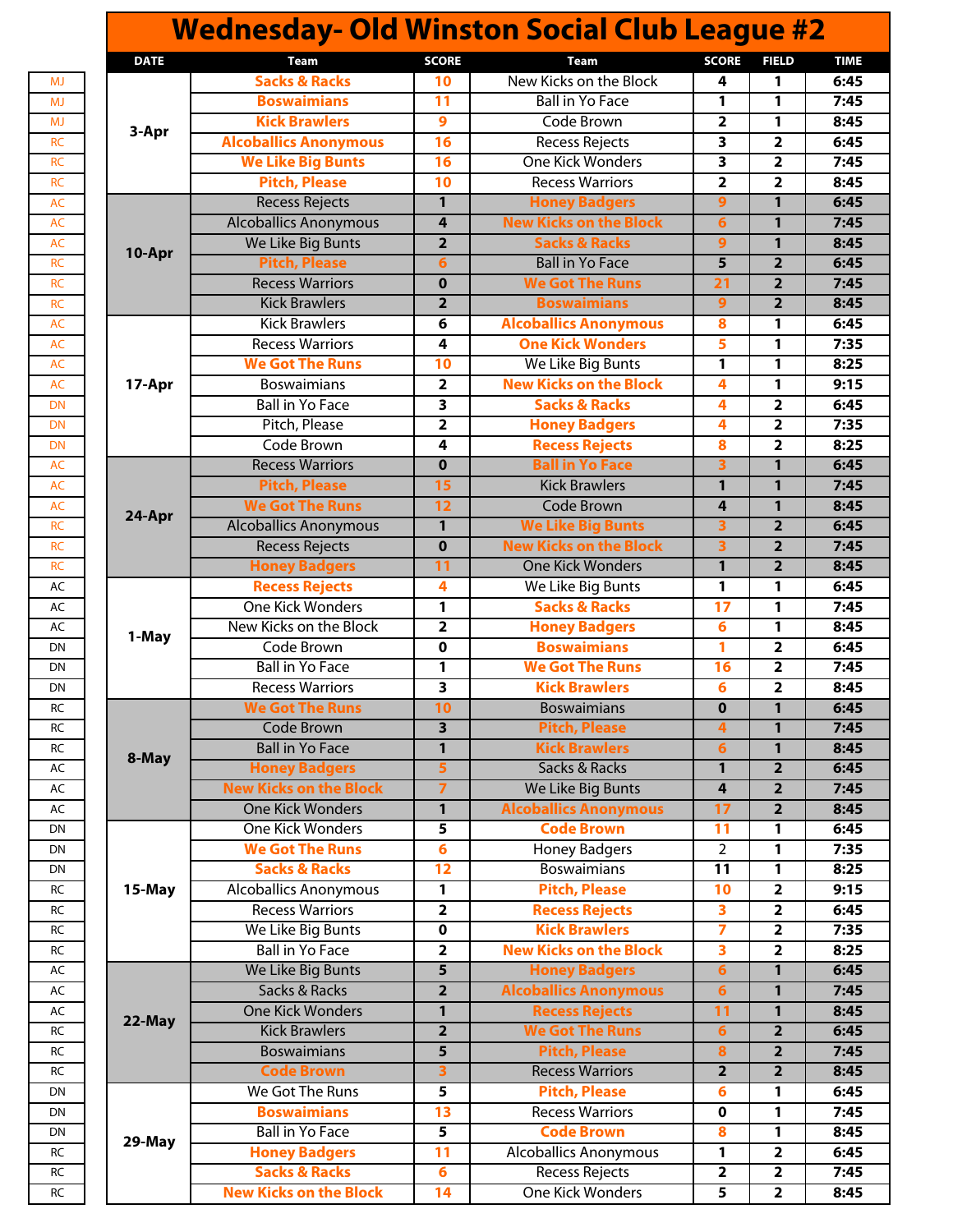|             |                               |                         | <b>Wednesday- Old Winston Social Club League #2</b> |                         |                         |  |
|-------------|-------------------------------|-------------------------|-----------------------------------------------------|-------------------------|-------------------------|--|
| <b>DATE</b> | Team                          | <b>SCORE</b>            | Team                                                | <b>SCORE</b>            | <b>FIELD</b>            |  |
|             | <b>Sacks &amp; Racks</b>      | 10                      | New Kicks on the Block                              | 4                       | 1                       |  |
|             | <b>Boswaimians</b>            | 11                      | <b>Ball in Yo Face</b>                              | $\mathbf{1}$            | 1                       |  |
|             | <b>Kick Brawlers</b>          | $\boldsymbol{9}$        | Code Brown                                          | $\overline{2}$          | 1                       |  |
| 3-Apr       | <b>Alcoballics Anonymous</b>  | 16                      | Recess Rejects                                      | $\overline{\mathbf{3}}$ | $\overline{2}$          |  |
|             | <b>We Like Big Bunts</b>      | 16                      | <b>One Kick Wonders</b>                             | 3                       | $\overline{2}$          |  |
|             | <b>Pitch, Please</b>          | 10                      | <b>Recess Warriors</b>                              | $\overline{\mathbf{2}}$ | $\overline{\mathbf{2}}$ |  |
|             | <b>Recess Rejects</b>         | $\mathbf{1}$            | <b>Honey Badgers</b>                                | $\overline{9}$          | 1                       |  |
|             | <b>Alcoballics Anonymous</b>  | 4                       | <b>New Kicks on the Block</b>                       | $6\phantom{1}$          | $\mathbf{1}$            |  |
|             | We Like Big Bunts             | $\overline{2}$          | <b>Sacks &amp; Racks</b>                            | 9                       | 1                       |  |
| 10-Apr      | <b>Pitch, Please</b>          | $6\overline{6}$         | <b>Ball in Yo Face</b>                              | $\overline{5}$          | $\overline{2}$          |  |
|             | <b>Recess Warriors</b>        | $\mathbf{0}$            | <b>We Got The Runs</b>                              | $\overline{21}$         | $\overline{2}$          |  |
|             | <b>Kick Brawlers</b>          | $\overline{2}$          | <b>Boswaimians</b>                                  | $\overline{9}$          | $\overline{2}$          |  |
|             | <b>Kick Brawlers</b>          | 6                       | <b>Alcoballics Anonymous</b>                        | 8                       | 1                       |  |
|             | <b>Recess Warriors</b>        | 4                       | <b>One Kick Wonders</b>                             | 5                       | 1                       |  |
|             | <b>We Got The Runs</b>        | 10                      | We Like Big Bunts                                   | 1                       | 1                       |  |
| 17-Apr      | <b>Boswaimians</b>            | $\overline{2}$          | <b>New Kicks on the Block</b>                       | 4                       | 1                       |  |
|             | <b>Ball in Yo Face</b>        | 3                       | <b>Sacks &amp; Racks</b>                            | 4                       | $\overline{\mathbf{2}}$ |  |
|             | Pitch, Please                 | $\overline{2}$          | <b>Honey Badgers</b>                                | 4                       | $\overline{2}$          |  |
|             | Code Brown                    | 4                       | <b>Recess Rejects</b>                               | 8                       | $\overline{2}$          |  |
|             | <b>Recess Warriors</b>        | $\mathbf 0$             | <b>Ball in Yo Face</b>                              | 3                       | $\mathbf{1}$            |  |
|             | <b>Pitch, Please</b>          | 15                      | <b>Kick Brawlers</b>                                | 1                       | $\mathbf{1}$            |  |
|             | <b>We Got The Runs</b>        | 12                      | <b>Code Brown</b>                                   | 4                       | $\mathbf{1}$            |  |
| 24-Apr      | <b>Alcoballics Anonymous</b>  | $\mathbf{1}$            | <b>We Like Big Bunts</b>                            | 3                       | $\overline{2}$          |  |
|             | <b>Recess Rejects</b>         | $\mathbf 0$             | <b>New Kicks on the Block</b>                       | $\overline{\mathbf{3}}$ | $\overline{2}$          |  |
|             | <b>Honey Badgers</b>          | 11                      | <b>One Kick Wonders</b>                             | $\mathbf{1}$            | $\overline{2}$          |  |
|             | <b>Recess Rejects</b>         | 4                       | We Like Big Bunts                                   | 1                       | 1                       |  |
|             | <b>One Kick Wonders</b>       | $\mathbf{1}$            | <b>Sacks &amp; Racks</b>                            | 17                      | 1                       |  |
|             | New Kicks on the Block        | $\overline{2}$          | <b>Honey Badgers</b>                                | 6                       | 1                       |  |
| 1-May       | Code Brown                    | $\mathbf 0$             | <b>Boswaimians</b>                                  | 1                       | $\overline{2}$          |  |
|             | <b>Ball in Yo Face</b>        | 1                       | <b>We Got The Runs</b>                              | 16                      | $\overline{2}$          |  |
|             | <b>Recess Warriors</b>        | 3                       | <b>Kick Brawlers</b>                                | 6                       | $\overline{\mathbf{2}}$ |  |
|             | <b>We Got The Runs</b>        | 10                      | <b>Boswaimians</b>                                  | $\mathbf 0$             | $\mathbf{1}$            |  |
|             | <b>Code Brown</b>             | $\overline{\mathbf{3}}$ | <b>Pitch, Please</b>                                | 4                       | 1                       |  |
|             | <b>Ball in Yo Face</b>        | $\mathbf{1}$            | <b>Kick Brawlers</b>                                | 6                       | $\mathbf{1}$            |  |
| 8-May       | <b>Honey Badgers</b>          | 5                       | Sacks & Racks                                       | 1                       | $\overline{2}$          |  |
|             | <b>New Kicks on the Block</b> | 7                       | We Like Big Bunts                                   | 4                       | $\overline{2}$          |  |
|             | <b>One Kick Wonders</b>       | $\mathbf{1}$            | <b>Alcoballics Anonymous</b>                        | 17                      | $\overline{2}$          |  |
|             | <b>One Kick Wonders</b>       | 5                       | <b>Code Brown</b>                                   | 11                      | 1                       |  |
|             | <b>We Got The Runs</b>        | 6                       | <b>Honey Badgers</b>                                | $\overline{2}$          | 1                       |  |
|             | <b>Sacks &amp; Racks</b>      | $\overline{12}$         | <b>Boswaimians</b>                                  | 11                      | 1                       |  |
| 15-May      | <b>Alcoballics Anonymous</b>  | 1                       | <b>Pitch, Please</b>                                | 10                      | $\overline{\mathbf{2}}$ |  |
|             | <b>Recess Warriors</b>        | $\overline{\mathbf{2}}$ | <b>Recess Rejects</b>                               | 3                       | $\overline{\mathbf{2}}$ |  |
|             | We Like Big Bunts             | $\pmb{0}$               | <b>Kick Brawlers</b>                                | 7                       | $\overline{2}$          |  |
|             | <b>Ball in Yo Face</b>        | $\overline{\mathbf{2}}$ | <b>New Kicks on the Block</b>                       | 3                       | $\overline{\mathbf{2}}$ |  |
|             | We Like Big Bunts             | $5\phantom{1}$          | <b>Honey Badgers</b>                                | 6                       | $\mathbf{1}$            |  |
|             | Sacks & Racks                 | $\overline{2}$          | <b>Alcoballics Anonymous</b>                        | $\overline{6}$          | $\mathbf{1}$            |  |
|             | <b>One Kick Wonders</b>       | 1                       | <b>Recess Rejects</b>                               | 11                      | $\mathbf{1}$            |  |
| 22-May      | <b>Kick Brawlers</b>          | $\overline{2}$          | <b>We Got The Runs</b>                              | 6                       | $\overline{2}$          |  |
|             | <b>Boswaimians</b>            | $\overline{\mathbf{5}}$ | <b>Pitch, Please</b>                                | 8                       | $\overline{2}$          |  |
|             | <b>Code Brown</b>             | 3                       | <b>Recess Warriors</b>                              | $\overline{\mathbf{2}}$ | $\overline{2}$          |  |
|             | We Got The Runs               | 5                       | <b>Pitch, Please</b>                                | 6                       | 1                       |  |
|             | <b>Boswaimians</b>            | $\overline{13}$         | <b>Recess Warriors</b>                              | $\mathbf 0$             | 1                       |  |
|             | <b>Ball in Yo Face</b>        | 5                       | <b>Code Brown</b>                                   | 8                       | 1                       |  |
| 29-May      | <b>Honey Badgers</b>          | 11                      | <b>Alcoballics Anonymous</b>                        | 1                       | $\overline{\mathbf{2}}$ |  |
|             |                               |                         |                                                     |                         |                         |  |
|             | <b>Sacks &amp; Racks</b>      | $6\phantom{1}6$         | <b>Recess Rejects</b>                               | 2                       | $\overline{2}$          |  |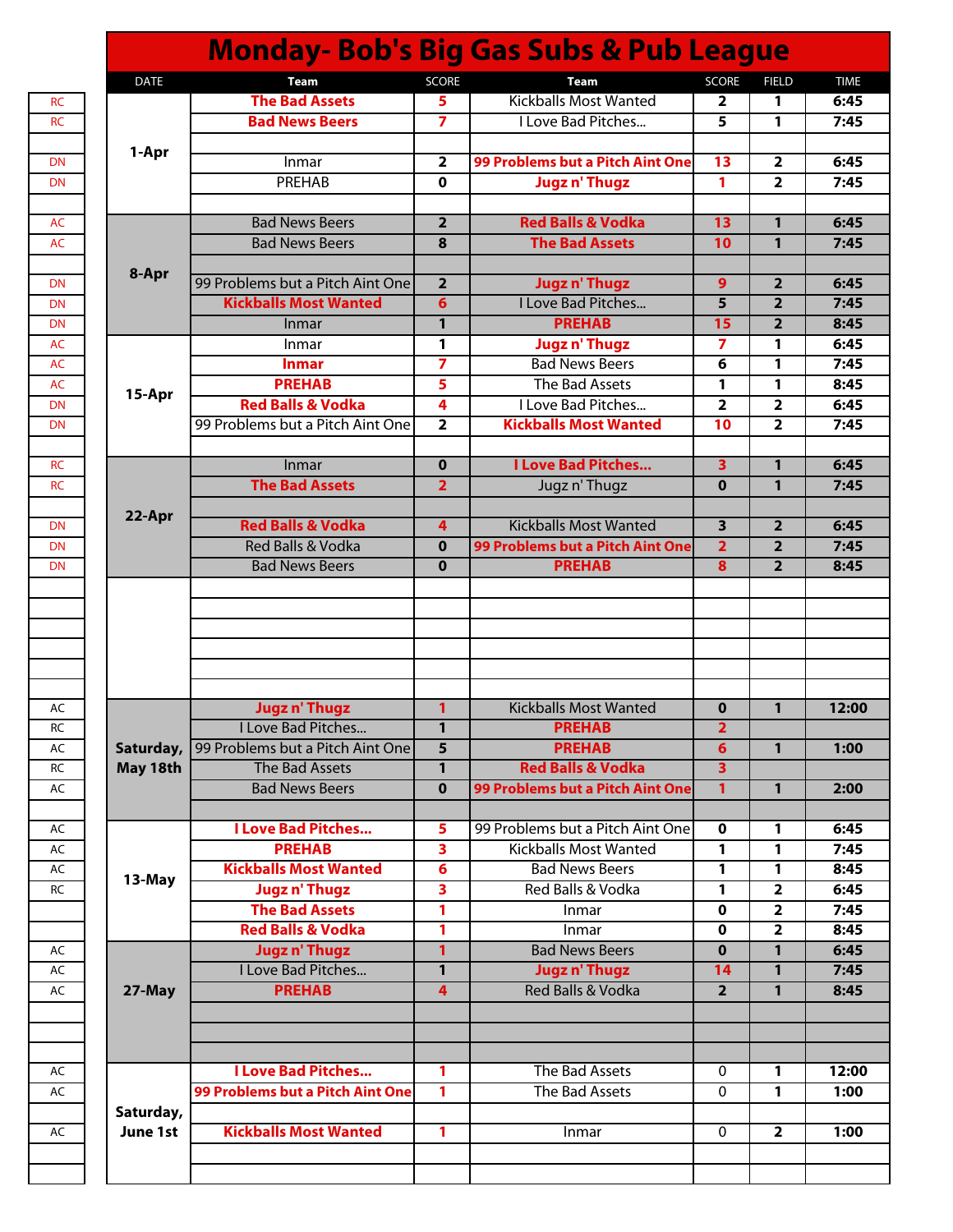|                       |                                  |                         | <b>Monday-Bob's Big Gas Subs &amp; Pub League</b> |                         |                         |
|-----------------------|----------------------------------|-------------------------|---------------------------------------------------|-------------------------|-------------------------|
| <b>DATE</b>           | <b>Team</b>                      | SCORE                   | <b>Team</b>                                       | <b>SCORE</b>            | <b>FIELD</b>            |
|                       | <b>The Bad Assets</b>            | 5                       | <b>Kickballs Most Wanted</b>                      | $\overline{2}$          | 1                       |
|                       | <b>Bad News Beers</b>            | 7                       | I Love Bad Pitches                                | 5                       | 1                       |
|                       |                                  |                         |                                                   |                         |                         |
| 1-Apr                 | Inmar                            | $\overline{2}$          | 99 Problems but a Pitch Aint One                  | 13                      | $\overline{2}$          |
|                       | PREHAB                           | 0                       | <b>Jugzn' Thugz</b>                               | $\mathbf{1}$            | $\overline{\mathbf{2}}$ |
|                       |                                  |                         |                                                   |                         |                         |
|                       | <b>Bad News Beers</b>            | $\overline{2}$          | <b>Red Balls &amp; Vodka</b>                      | 13                      | 1                       |
|                       | <b>Bad News Beers</b>            | 8                       | <b>The Bad Assets</b>                             | 10                      | 1                       |
|                       |                                  |                         |                                                   |                         |                         |
| 8-Apr                 | 99 Problems but a Pitch Aint One | $\overline{2}$          | <b>Jugzn' Thugz</b>                               | 9                       | $\overline{2}$          |
|                       | <b>Kickballs Most Wanted</b>     | $6\overline{6}$         | I Love Bad Pitches                                | 5                       | $\overline{2}$          |
|                       |                                  |                         |                                                   |                         |                         |
|                       | Inmar                            | 1                       | <b>PREHAB</b>                                     | 15                      | $\overline{2}$          |
|                       | Inmar                            | 1                       | <b>Jugzn' Thugz</b>                               | $\overline{ }$          | 1                       |
|                       | Inmar                            | $\overline{ }$          | <b>Bad News Beers</b>                             | 6                       | 1                       |
| 15-Apr                | <b>PREHAB</b>                    | 5                       | The Bad Assets                                    | $\mathbf{1}$            | 1                       |
|                       | <b>Red Balls &amp; Vodka</b>     | 4                       | I Love Bad Pitches                                | $\overline{2}$          | $\overline{2}$          |
|                       | 99 Problems but a Pitch Aint One | $\overline{\mathbf{2}}$ | <b>Kickballs Most Wanted</b>                      | 10                      | $\overline{2}$          |
|                       |                                  |                         |                                                   |                         |                         |
|                       | Inmar                            | $\mathbf 0$             | <b>I Love Bad Pitches</b>                         | $\overline{\mathbf{3}}$ | 1                       |
|                       | <b>The Bad Assets</b>            | $\overline{2}$          | Jugz n' Thugz                                     | $\mathbf 0$             | $\mathbf{1}$            |
|                       |                                  |                         |                                                   |                         |                         |
| 22-Apr                | <b>Red Balls &amp; Vodka</b>     | 4                       | <b>Kickballs Most Wanted</b>                      | $\overline{\mathbf{3}}$ | $\overline{2}$          |
|                       | <b>Red Balls &amp; Vodka</b>     | $\mathbf{0}$            | 99 Problems but a Pitch Aint One                  | $\overline{2}$          | $\overline{2}$          |
|                       | <b>Bad News Beers</b>            | $\bf{0}$                | <b>PREHAB</b>                                     | 8                       | $\overline{2}$          |
|                       |                                  |                         |                                                   |                         |                         |
|                       | <b>Jugzn' Thugz</b>              | 1                       | <b>Kickballs Most Wanted</b>                      | $\mathbf 0$             | $\mathbf{1}$            |
|                       | I Love Bad Pitches               | 11                      | <b>PREHAB</b>                                     | 2                       |                         |
| Saturday,             | 99 Problems but a Pitch Aint One | 5                       | <b>PREHAB</b>                                     | 6                       | $\mathbf{1}$            |
| May 18th              | The Bad Assets                   | 1                       | <b>Red Balls &amp; Vodka</b>                      | $\overline{3}$          |                         |
|                       | <b>Bad News Beers</b>            | $\mathbf 0$             | 99 Problems but a Pitch Aint One                  | $\mathbf{1}$            | $\mathbf{1}$            |
|                       |                                  |                         |                                                   |                         |                         |
|                       | I Love Bad Pitches               | 5                       | 99 Problems but a Pitch Aint One                  | 0                       | 1                       |
|                       | <b>PREHAB</b>                    | 3                       | <b>Kickballs Most Wanted</b>                      | $\mathbf{1}$            | 1                       |
|                       | <b>Kickballs Most Wanted</b>     | 6                       | <b>Bad News Beers</b>                             | $\mathbf{1}$            | 1                       |
| 13-May                | <b>Jugzn' Thugz</b>              | 3                       | Red Balls & Vodka                                 | $\mathbf{1}$            | $\overline{\mathbf{2}}$ |
|                       | <b>The Bad Assets</b>            | 1                       | Inmar                                             | 0                       | $\overline{\mathbf{2}}$ |
|                       | <b>Red Balls &amp; Vodka</b>     | 1                       | Inmar                                             | 0                       | $\overline{2}$          |
|                       | <b>Jugzn' Thugz</b>              | 1                       | <b>Bad News Beers</b>                             | $\mathbf 0$             | 1                       |
|                       | I Love Bad Pitches               | $\mathbf{1}$            | <b>Jugzn' Thugz</b>                               | 14                      | 1                       |
|                       | <b>PREHAB</b>                    | 4                       | <b>Red Balls &amp; Vodka</b>                      | $\overline{2}$          | $\mathbf{1}$            |
|                       |                                  |                         |                                                   |                         |                         |
| 27-May                |                                  |                         |                                                   |                         |                         |
|                       |                                  |                         |                                                   |                         |                         |
|                       |                                  |                         |                                                   |                         |                         |
|                       |                                  |                         |                                                   |                         |                         |
|                       | <b>I Love Bad Pitches</b>        | 1                       | The Bad Assets                                    | $\mathbf 0$             | 1                       |
|                       | 99 Problems but a Pitch Aint One | 1                       | The Bad Assets                                    | $\mathbf{0}$            | 1                       |
|                       |                                  |                         |                                                   |                         |                         |
| Saturday,<br>June 1st | <b>Kickballs Most Wanted</b>     | 1                       | Inmar                                             | $\mathbf{0}$            | $\overline{2}$          |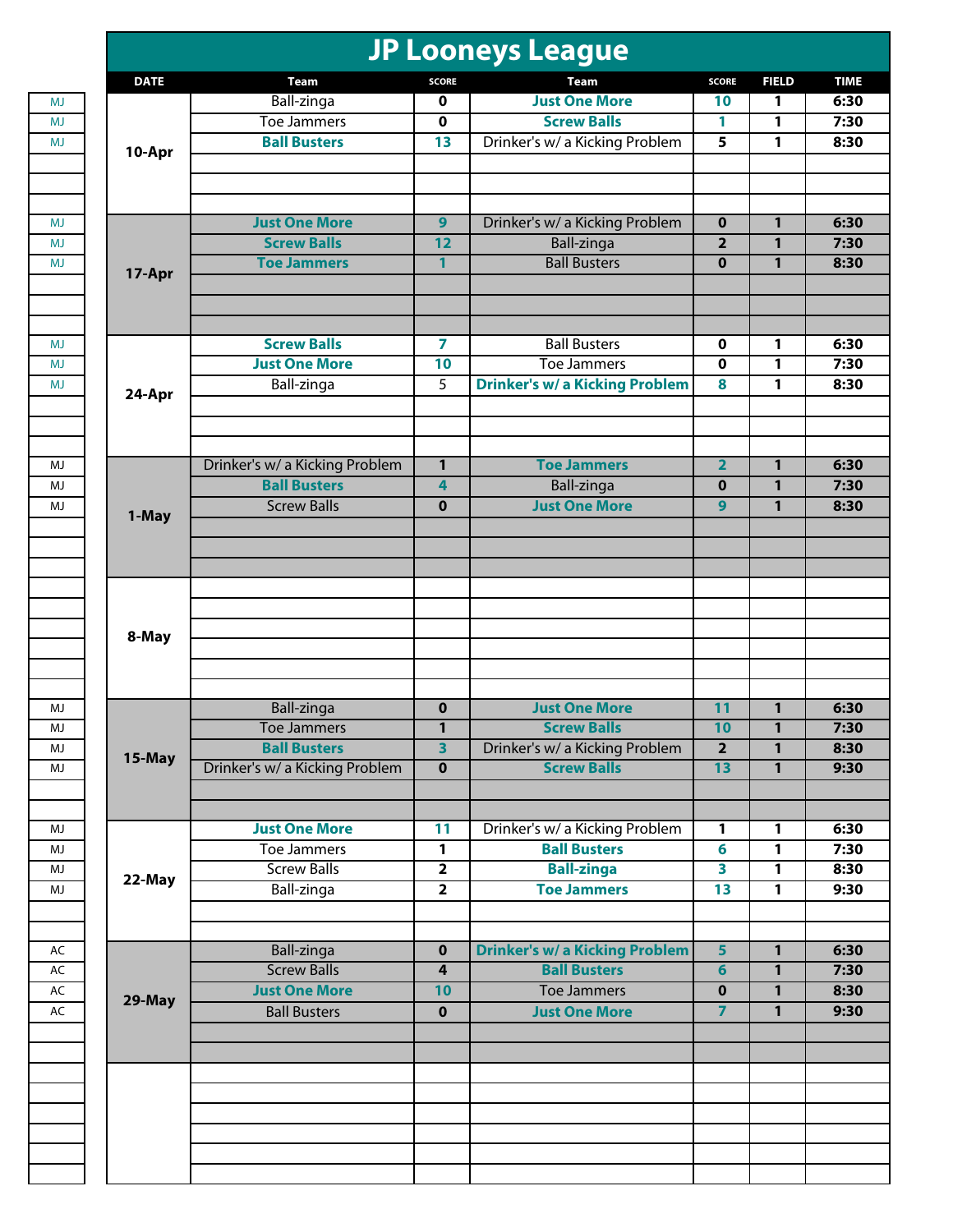|             |                                    |                              | <b>JP Looneys League</b>                             |                         |                |  |
|-------------|------------------------------------|------------------------------|------------------------------------------------------|-------------------------|----------------|--|
| <b>DATE</b> | <b>Team</b>                        | <b>SCORE</b>                 | Team                                                 | <b>SCORE</b>            | <b>FIELD</b>   |  |
|             | Ball-zinga                         | $\mathbf 0$                  | <b>Just One More</b>                                 | 10                      | 1              |  |
|             | <b>Toe Jammers</b>                 | $\mathbf 0$                  | <b>Screw Balls</b>                                   | 1                       | 1              |  |
| 10-Apr      | <b>Ball Busters</b>                | 13                           | Drinker's w/ a Kicking Problem                       | 5                       | 1              |  |
|             |                                    |                              |                                                      |                         |                |  |
|             | <b>Just One More</b>               | 9                            | Drinker's w/ a Kicking Problem                       | $\bf{0}$                | 1              |  |
|             | <b>Screw Balls</b>                 | 12                           | <b>Ball-zinga</b>                                    | $\overline{2}$          | $\mathbf{1}$   |  |
| 17-Apr      | <b>Toe Jammers</b>                 | $\mathbf{1}$                 | <b>Ball Busters</b>                                  | $\mathbf 0$             | 1              |  |
|             | <b>Screw Balls</b>                 | $\overline{\mathbf{z}}$      | <b>Ball Busters</b>                                  | 0                       | 1              |  |
|             | <b>Just One More</b>               | 10                           | Toe Jammers                                          | 0                       | 1              |  |
|             | Ball-zinga                         | 5                            | <b>Drinker's w/ a Kicking Problem</b>                | 8                       | 1              |  |
| 24-Apr      |                                    |                              |                                                      |                         |                |  |
|             | Drinker's w/ a Kicking Problem     | $\mathbf{1}$                 | <b>Toe Jammers</b>                                   | $\overline{\mathbf{2}}$ | $\mathbf{1}$   |  |
|             | <b>Ball Busters</b>                | 4                            | <b>Ball-zinga</b>                                    | $\bf{0}$                | 1              |  |
| 1-May       | <b>Screw Balls</b>                 | $\mathbf 0$                  | <b>Just One More</b>                                 | 9                       | 1              |  |
|             |                                    |                              |                                                      |                         |                |  |
|             |                                    |                              |                                                      |                         |                |  |
| 8-May       |                                    |                              |                                                      |                         |                |  |
|             |                                    |                              | <b>Just One More</b>                                 |                         |                |  |
|             | Ball-zinga                         | $\mathbf 0$                  |                                                      | $\overline{11}$         | 1              |  |
|             | Toe Jammers<br><b>Ball Busters</b> | 1<br>$\overline{\mathbf{3}}$ | <b>Screw Balls</b><br>Drinker's w/ a Kicking Problem | 10<br>$\overline{2}$    | 1<br>1         |  |
| 15-May      | Drinker's w/ a Kicking Problem     | $\overline{\mathbf{0}}$      | <b>Screw Balls</b>                                   | $\overline{13}$         | $\overline{1}$ |  |
|             |                                    |                              |                                                      |                         |                |  |
|             | <b>Just One More</b>               | 11                           | Drinker's w/ a Kicking Problem                       | 1                       | 1              |  |
|             | <b>Toe Jammers</b>                 | $\mathbf{1}$                 | <b>Ball Busters</b>                                  | $6\phantom{a}$          | 1              |  |
|             | <b>Screw Balls</b>                 | $\overline{2}$               | <b>Ball-zinga</b>                                    | 3                       | 1              |  |
| 22-May      | Ball-zinga                         | $\overline{2}$               | <b>Toe Jammers</b>                                   | $\overline{13}$         | 1              |  |
|             |                                    |                              |                                                      |                         |                |  |
|             | <b>Ball-zinga</b>                  | $\mathbf 0$                  | <b>Drinker's w/ a Kicking Problem</b>                | $\overline{\mathbf{5}}$ | $\mathbf{1}$   |  |
|             | <b>Screw Balls</b>                 | $\overline{\mathbf{r}}$      | <b>Ball Busters</b>                                  | $6\phantom{1}$          | 1              |  |
| 29-May      | <b>Just One More</b>               | 10                           | <b>Toe Jammers</b>                                   | $\pmb{0}$               | $\mathbf{1}$   |  |
|             | <b>Ball Busters</b>                | $\overline{\mathbf{0}}$      | <b>Just One More</b>                                 | $\overline{7}$          | $\overline{1}$ |  |
|             |                                    |                              |                                                      |                         |                |  |
|             |                                    |                              |                                                      |                         |                |  |
|             |                                    |                              |                                                      |                         |                |  |
|             |                                    |                              |                                                      |                         |                |  |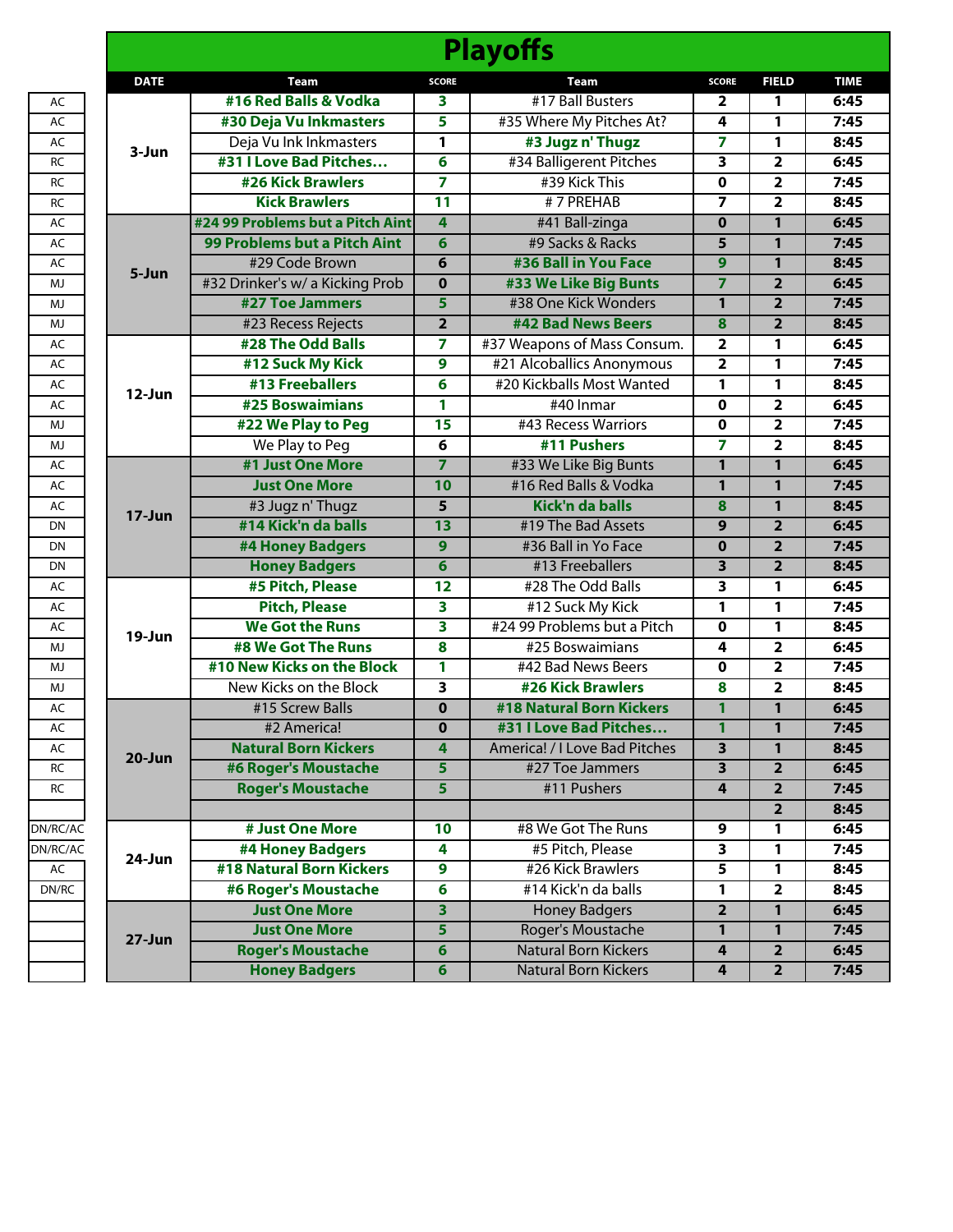|             |                                  |                         | <b>Playoffs</b>               |                         |                         |             |
|-------------|----------------------------------|-------------------------|-------------------------------|-------------------------|-------------------------|-------------|
| <b>DATE</b> | <b>Team</b>                      | <b>SCORE</b>            | Team                          | <b>SCORE</b>            | <b>FIELD</b>            | <b>TIME</b> |
|             | #16 Red Balls & Vodka            | 3                       | #17 Ball Busters              | $\overline{\mathbf{2}}$ | 1                       | 6:45        |
|             | #30 Deja Vu Inkmasters           | 5                       | #35 Where My Pitches At?      | 4                       | 1                       | 7:45        |
|             | Deja Vu Ink Inkmasters           | 1                       | #3 Jugz n' Thugz              | 7                       | 1                       | 8:45        |
| 3-Jun       | #31 I Love Bad Pitches           | 6                       | #34 Balligerent Pitches       | $\overline{\mathbf{3}}$ | $\overline{\mathbf{2}}$ | 6:45        |
|             | <b>#26 Kick Brawlers</b>         | 7                       | #39 Kick This                 | $\mathbf 0$             | $\overline{\mathbf{2}}$ | 7:45        |
|             | <b>Kick Brawlers</b>             | $\overline{11}$         | #7 PREHAB                     | $\overline{ }$          | $\overline{2}$          | 8:45        |
|             | #24 99 Problems but a Pitch Aint | 4                       | #41 Ball-zinga                | $\overline{\mathbf{0}}$ | $\mathbf{1}$            | 6:45        |
|             | 99 Problems but a Pitch Aint     | 6                       | #9 Sacks & Racks              | 5                       | 1                       | 7:45        |
| 5-Jun       | #29 Code Brown                   | 6                       | #36 Ball in You Face          | $\boldsymbol{9}$        | $\mathbf{1}$            | 8:45        |
|             | #32 Drinker's w/ a Kicking Prob  | $\bf{0}$                | #33 We Like Big Bunts         | $\overline{7}$          | $\overline{2}$          | 6:45        |
|             | #27 Toe Jammers                  | 5                       | #38 One Kick Wonders          | $\mathbf{1}$            | $\overline{2}$          | 7:45        |
|             | #23 Recess Rejects               | $\overline{2}$          | #42 Bad News Beers            | 8                       | $\overline{2}$          | 8:45        |
|             | #28 The Odd Balls                | 7                       | #37 Weapons of Mass Consum.   | $\overline{\mathbf{2}}$ | 1                       | 6:45        |
|             | #12 Suck My Kick                 | $\overline{9}$          | #21 Alcoballics Anonymous     | $\overline{\mathbf{2}}$ | 1                       | 7:45        |
|             | #13 Freeballers                  | 6                       | #20 Kickballs Most Wanted     | 1                       | 1                       | 8:45        |
| 12-Jun      | #25 Boswaimians                  | 1                       | #40 Inmar                     | $\mathbf 0$             | $\overline{2}$          | 6:45        |
|             | #22 We Play to Peg               | $\overline{15}$         | #43 Recess Warriors           | $\overline{\mathbf{0}}$ | $\overline{\mathbf{2}}$ | 7:45        |
|             | We Play to Peg                   | 6                       | #11 Pushers                   | 7                       | $\overline{2}$          | 8:45        |
| $17 - Jun$  | #1 Just One More                 | $\overline{\mathbf{z}}$ | #33 We Like Big Bunts         | $\mathbf{1}$            | $\mathbf{1}$            | 6:45        |
|             | <b>Just One More</b>             | 10                      | #16 Red Balls & Vodka         | $\mathbf{1}$            | 1                       | 7:45        |
|             | #3 Jugz n' Thugz                 | 5                       | <b>Kick'n da balls</b>        | 8                       | 1                       | 8:45        |
|             | #14 Kick'n da balls              | $\overline{13}$         | #19 The Bad Assets            | 9                       | $\overline{2}$          | 6:45        |
|             | #4 Honey Badgers                 | $\overline{9}$          | #36 Ball in Yo Face           | $\overline{\mathbf{0}}$ | $\overline{2}$          | 7:45        |
|             | <b>Honey Badgers</b>             | 6                       | #13 Freeballers               | $\overline{\mathbf{3}}$ | $\overline{2}$          | 8:45        |
|             | #5 Pitch, Please                 | $\overline{12}$         | #28 The Odd Balls             | 3                       | 1                       | 6:45        |
|             | <b>Pitch, Please</b>             | $\overline{\mathbf{3}}$ | #12 Suck My Kick              | 1                       | 1                       | 7:45        |
|             | <b>We Got the Runs</b>           | 3                       | #24 99 Problems but a Pitch   | $\mathbf 0$             | 1                       | 8:45        |
| $19 - Jun$  | #8 We Got The Runs               | 8                       | #25 Boswaimians               | 4                       | $\overline{2}$          | 6:45        |
|             | #10 New Kicks on the Block       | 1                       | #42 Bad News Beers            | $\mathbf 0$             | $\overline{2}$          | 7:45        |
|             | New Kicks on the Block           | 3                       | <b>#26 Kick Brawlers</b>      | 8                       | $\overline{\mathbf{2}}$ | 8:45        |
|             | #15 Screw Balls                  | $\bf{0}$                | #18 Natural Born Kickers      | 1                       | $\mathbf{1}$            | 6:45        |
|             | #2 America!                      | U                       | #31 I Love Bad Pitches        | 11                      | 1                       | 7:45        |
| 20-Jun      | <b>Natural Born Kickers</b>      | 4                       | America! / I Love Bad Pitches | 3                       | 1                       | 8:45        |
|             | #6 Roger's Moustache             | 5                       | #27 Toe Jammers               | $\overline{\mathbf{3}}$ | $\overline{\mathbf{2}}$ | 6:45        |
|             | <b>Roger's Moustache</b>         | 5                       | #11 Pushers                   | $\overline{\mathbf{4}}$ | $\overline{2}$          | 7:45        |
|             |                                  |                         |                               |                         | $\overline{\mathbf{2}}$ | 8:45        |
|             | # Just One More                  | 10                      | #8 We Got The Runs            | $\overline{9}$          | 1                       | 6:45        |
| 24-Jun      | #4 Honey Badgers                 | 4                       | #5 Pitch, Please              | 3                       | 1                       | 7:45        |
|             | #18 Natural Born Kickers         | 9                       | #26 Kick Brawlers             | 5                       | 1                       | 8:45        |
|             | #6 Roger's Moustache             | 6                       | #14 Kick'n da balls           | $\mathbf{1}$            | $\overline{2}$          | 8:45        |
|             | <b>Just One More</b>             | $\overline{\mathbf{3}}$ | <b>Honey Badgers</b>          | $\overline{\mathbf{2}}$ | $\mathbf{1}$            | 6:45        |
| 27-Jun      | <b>Just One More</b>             | 5                       | Roger's Moustache             | $\mathbf{1}$            | 1                       | 7:45        |
|             | <b>Roger's Moustache</b>         | 6                       | <b>Natural Born Kickers</b>   | 4                       | $\overline{2}$          | 6:45        |
|             | <b>Honey Badgers</b>             | 6                       | <b>Natural Born Kickers</b>   | $\overline{\mathbf{4}}$ | $\overline{2}$          | 7:45        |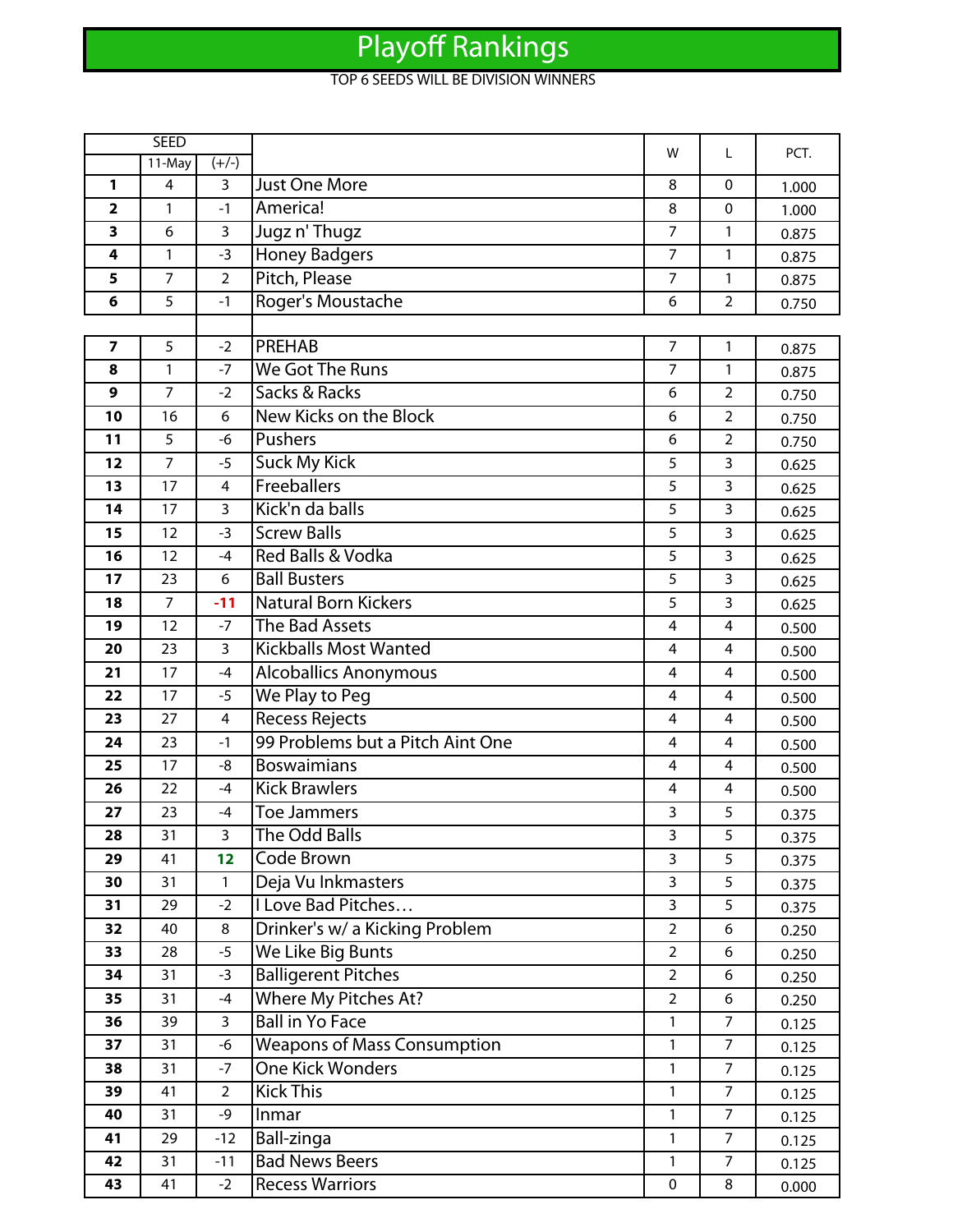## Playoff Rankings

## TOP 6 SEEDS WILL BE DIVISION WINNERS

|                         | <b>SEED</b>    |                |                                    | w              | L              | PCT.  |
|-------------------------|----------------|----------------|------------------------------------|----------------|----------------|-------|
|                         | 11-May         | $(+/-)$        |                                    |                |                |       |
| 1                       | $\overline{4}$ | 3              | <b>Just One More</b>               | 8              | $\mathbf{0}$   | 1.000 |
| $\overline{\mathbf{2}}$ | 1              | $-1$           | America!                           | 8              | $\mathbf 0$    | 1.000 |
| 3                       | 6              | 3              | Jugz n' Thugz                      | $\overline{7}$ | $\mathbf{1}$   | 0.875 |
| 4                       | 1              | $-3$           | <b>Honey Badgers</b>               | $\overline{7}$ | 1              | 0.875 |
| 5                       | $\overline{7}$ | $\overline{2}$ | Pitch, Please                      | $\overline{7}$ | 1              | 0.875 |
| 6                       | 5              | $-1$           | Roger's Moustache                  | 6              | $\overline{2}$ | 0.750 |
|                         |                |                |                                    |                |                |       |
| $\overline{\mathbf{z}}$ | 5              | $-2$           | <b>PREHAB</b>                      | $\overline{7}$ | 1              | 0.875 |
| 8                       | 1              | $-7$           | <b>We Got The Runs</b>             | $\overline{7}$ | 1              | 0.875 |
| 9                       | 7              | $-2$           | Sacks & Racks                      | 6              | $\overline{2}$ | 0.750 |
| 10                      | 16             | 6              | New Kicks on the Block             | 6              | $\overline{2}$ | 0.750 |
| 11                      | 5              | $-6$           | Pushers                            | 6              | $\overline{2}$ | 0.750 |
| 12                      | 7              | $-5$           | <b>Suck My Kick</b>                | 5              | 3              | 0.625 |
| 13                      | 17             | 4              | Freeballers                        | 5              | 3              | 0.625 |
| 14                      | 17             | 3              | Kick'n da balls                    | 5              | 3              | 0.625 |
| 15                      | 12             | $-3$           | <b>Screw Balls</b>                 | 5              | 3              | 0.625 |
| 16                      | 12             | $-4$           | Red Balls & Vodka                  | 5              | 3              | 0.625 |
| 17                      | 23             | 6              | <b>Ball Busters</b>                | 5              | 3              | 0.625 |
| 18                      | 7              | $-11$          | <b>Natural Born Kickers</b>        | 5              | 3              | 0.625 |
| 19                      | 12             | $-7$           | <b>The Bad Assets</b>              | 4              | 4              | 0.500 |
| 20                      | 23             | 3              | <b>Kickballs Most Wanted</b>       | 4              | 4              | 0.500 |
| 21                      | 17             | $-4$           | <b>Alcoballics Anonymous</b>       | $\overline{4}$ | 4              | 0.500 |
| 22                      | 17             | $-5$           | We Play to Peg                     | 4              | 4              | 0.500 |
| 23                      | 27             | 4              | <b>Recess Rejects</b>              | 4              | 4              | 0.500 |
| 24                      | 23             | $-1$           | 99 Problems but a Pitch Aint One   | 4              | 4              | 0.500 |
| 25                      | 17             | -8             | <b>Boswaimians</b>                 | 4              | 4              | 0.500 |
| 26                      | 22             | $-4$           | <b>Kick Brawlers</b>               | 4              | 4              | 0.500 |
| 27                      | 23             | $-4$           | Toe Jammers                        | 3              | 5              | 0.375 |
| 28                      | 31             | 3              | The Odd Balls                      | 3              | 5              | 0.375 |
| 29                      | 41             | 12             | Code Brown                         | 3              | 5              | 0.375 |
| 30                      | 31             | $\mathbf{1}$   | Deja Vu Inkmasters                 | $\overline{3}$ | 5              | 0.375 |
| 31                      | 29             | $-2$           | I Love Bad Pitches                 | 3              | 5              | 0.375 |
| 32                      | 40             | 8              | Drinker's w/ a Kicking Problem     | $\overline{2}$ | 6              | 0.250 |
| 33                      | 28             | $-5$           | We Like Big Bunts                  | $\overline{2}$ | 6              | 0.250 |
| 34                      | 31             | $-3$           | <b>Balligerent Pitches</b>         | $\overline{2}$ | 6              | 0.250 |
| 35                      | 31             | -4             | Where My Pitches At?               | $\overline{2}$ | 6              | 0.250 |
| 36                      | 39             | $\overline{3}$ | <b>Ball in Yo Face</b>             | 1              | $\overline{7}$ | 0.125 |
| 37                      | 31             | -6             | <b>Weapons of Mass Consumption</b> | 1              | $\overline{7}$ | 0.125 |
| 38                      | 31             | $-7$           | <b>One Kick Wonders</b>            | $\mathbf{1}$   | $\overline{7}$ | 0.125 |
| 39                      | 41             | $\overline{2}$ | <b>Kick This</b>                   | $\mathbf{1}$   | $\overline{7}$ | 0.125 |
| 40                      | 31             | -9             | Inmar                              | 1              | $\overline{7}$ | 0.125 |
| 41                      | 29             | $-12$          | Ball-zinga                         | $\mathbf{1}$   | $\overline{7}$ | 0.125 |
| 42                      | 31             | $-11$          | <b>Bad News Beers</b>              | 1              | $\overline{7}$ | 0.125 |
| 43                      | 41             | $-2$           | <b>Recess Warriors</b>             | $\mathbf 0$    | 8              | 0.000 |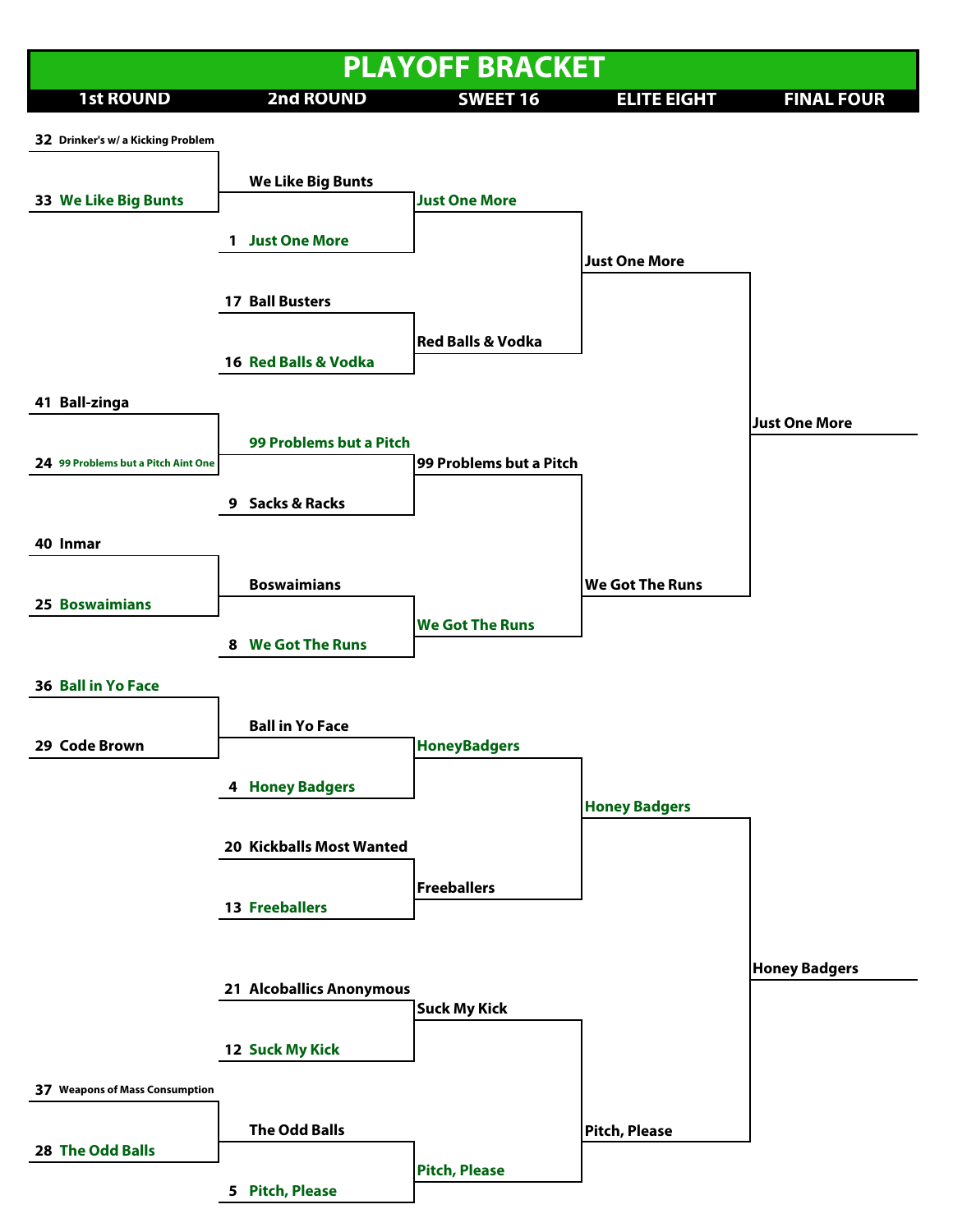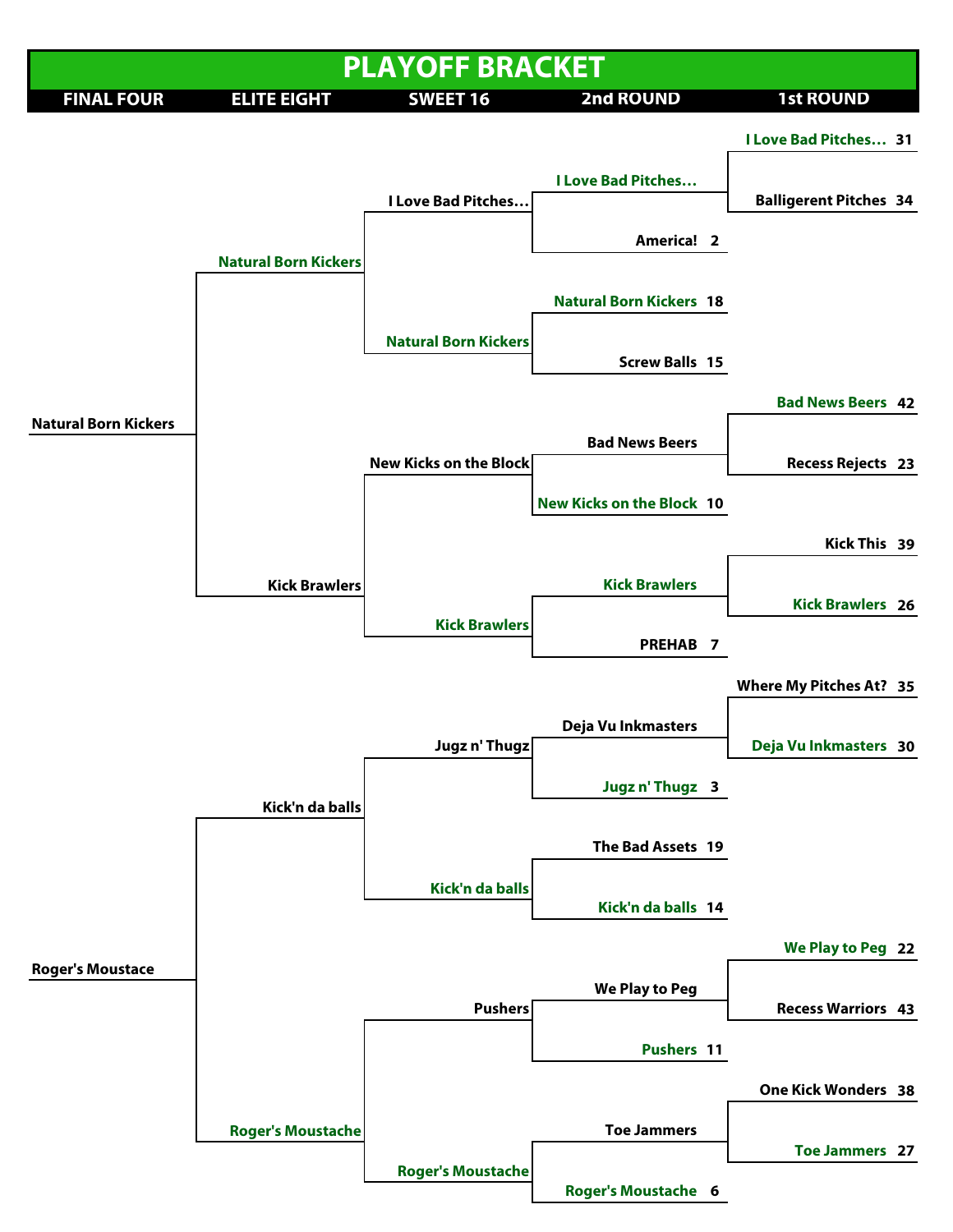